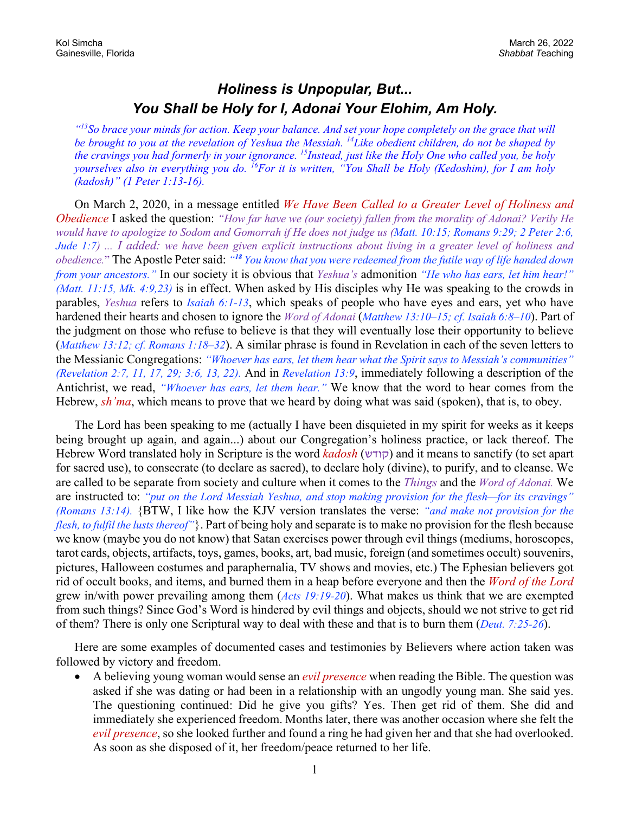## *Holiness is Unpopular, But... You Shall be Holy for I, Adonai Your Elohim, Am Holy.*

*"13So brace your minds for action. Keep your balance. And set your hope completely on the grace that will be brought to you at the revelation of Yeshua the Messiah. 14Like obedient children, do not be shaped by the cravings you had formerly in your ignorance. 15Instead, just like the Holy One who called you, be holy yourselves also in everything you do. 16For it is written, "You Shall be Holy (Kedoshim), for I am holy (kadosh)" (1 Peter 1:13-16).*

On March 2, 2020, in a message entitled *We Have Been Called to a Greater Level of Holiness and Obedience* I asked the question: *"How far have we (our society) fallen from the morality of Adonai? Verily He would have to apologize to Sodom and Gomorrah if He does not judge us (Matt. 10:15; Romans 9:29; 2 Peter 2:6, Jude 1:7) ... I added: we have been given explicit instructions about living in a greater level of holiness and obedience.*" The Apostle Peter said: *"<sup>18</sup> You know that you were redeemed from the futile way of life handed down from your ancestors."* In our society it is obvious that *Yeshua's* admonition *"He who has ears, let him hear!" (Matt. 11:15, Mk. 4:9,23)* is in effect. When asked by His disciples why He was speaking to the crowds in parables, *Yeshua* refers to *Isaiah 6:1-13*, which speaks of people who have eyes and ears, yet who have hardened their hearts and chosen to ignore the *Word of Adonai* (*Matthew 13:10–15; cf. Isaiah 6:8–10*). Part of the judgment on those who refuse to believe is that they will eventually lose their opportunity to believe (*Matthew 13:12; cf. Romans 1:18–32*). A similar phrase is found in Revelation in each of the seven letters to the Messianic Congregations: *"Whoever has ears, let them hear what the Spirit says to Messiah's communities" (Revelation 2:7, 11, 17, 29; 3:6, 13, 22).* And in *Revelation 13:9*, immediately following a description of the Antichrist, we read, *"Whoever has ears, let them hear."* We know that the word to hear comes from the Hebrew, *sh'ma*, which means to prove that we heard by doing what was said (spoken), that is, to obey.

The Lord has been speaking to me (actually I have been disquieted in my spirit for weeks as it keeps being brought up again, and again...) about our Congregation's holiness practice, or lack thereof. The Hebrew Word translated holy in Scripture is the word *kadosh* ( שדוק ( and it means to sanctify (to set apart for sacred use), to consecrate (to declare as sacred), to declare holy (divine), to purify, and to cleanse. We are called to be separate from society and culture when it comes to the *Things* and the *Word of Adonai.* We are instructed to: *"put on the Lord Messiah Yeshua, and stop making provision for the flesh—for its cravings" (Romans 13:14).* {BTW, I like how the KJV version translates the verse: *"and make not provision for the flesh, to fulfil the lusts thereof"*}. Part of being holy and separate is to make no provision for the flesh because we know (maybe you do not know) that Satan exercises power through evil things (mediums, horoscopes, tarot cards, objects, artifacts, toys, games, books, art, bad music, foreign (and sometimes occult) souvenirs, pictures, Halloween costumes and paraphernalia, TV shows and movies, etc.) The Ephesian believers got rid of occult books, and items, and burned them in a heap before everyone and then the *Word of the Lord* grew in/with power prevailing among them (*Acts 19:19-20*). What makes us think that we are exempted from such things? Since God's Word is hindered by evil things and objects, should we not strive to get rid of them? There is only one Scriptural way to deal with these and that is to burn them (*Deut. 7:25-26*).

Here are some examples of documented cases and testimonies by Believers where action taken was followed by victory and freedom.

• A believing young woman would sense an *evil presence* when reading the Bible. The question was asked if she was dating or had been in a relationship with an ungodly young man. She said yes. The questioning continued: Did he give you gifts? Yes. Then get rid of them. She did and immediately she experienced freedom. Months later, there was another occasion where she felt the *evil presence*, so she looked further and found a ring he had given her and that she had overlooked. As soon as she disposed of it, her freedom/peace returned to her life.